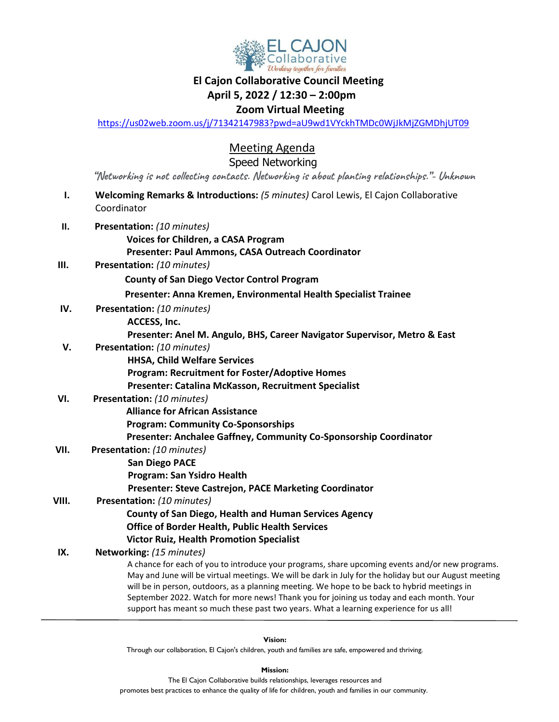

## **El Cajon Collaborative Council Meeting**

#### **April 5, 2022 / 12:30 – 2:00pm**

### **Zoom Virtual Meeting**

<https://us02web.zoom.us/j/71342147983?pwd=aU9wd1VYckhTMDc0WjJkMjZGMDhjUT09>

Meeting Agenda

Speed Networking

 **"Networking is not collecting contacts. Networking is about planting relationships."- Unknown**

- **I. Welcoming Remarks & Introductions:** *(5 minutes)* Carol Lewis, El Cajon Collaborative Coordinator **II. Presentation:** *(10 minutes)*
	- **Voices for Children, a CASA Program Presenter: Paul Ammons, CASA Outreach Coordinator**
- **III. Presentation:** *(10 minutes)*

**County of San Diego Vector Control Program**

 **Presenter: Anna Kremen, Environmental Health Specialist Trainee**

- **IV. Presentation:** *(10 minutes)*  **ACCESS, Inc.**
	- **Presenter: Anel M. Angulo, BHS, Career Navigator Supervisor, Metro & East**
- **V. Presentation:** *(10 minutes)*
	- **HHSA, Child Welfare Services Program: Recruitment for Foster/Adoptive Homes**
		- **Presenter: Catalina McKasson, Recruitment Specialist**

### **VI. Presentation:** *(10 minutes)*

- **Alliance for African Assistance**
- **Program: Community Co-Sponsorships**
- **Presenter: Anchalee Gaffney, Community Co-Sponsorship Coordinator**
- **VII. Presentation:** *(10 minutes)*
	- **San Diego PACE**
		- **Program: San Ysidro Health**
		- **Presenter: Steve Castrejon, PACE Marketing Coordinator**
- **VIII. Presentation:** *(10 minutes)*

**County of San Diego, Health and Human Services Agency**

 **Office of Border Health, Public Health Services**

**Victor Ruiz, Health Promotion Specialist**

**IX. Networking:** *(15 minutes)*

A chance for each of you to introduce your programs, share upcoming events and/or new programs. May and June will be virtual meetings. We will be dark in July for the holiday but our August meeting will be in person, outdoors, as a planning meeting. We hope to be back to hybrid meetings in September 2022. Watch for more news! Thank you for joining us today and each month. Your support has meant so much these past two years. What a learning experience for us all!

**Vision:** 

Through our collaboration, El Cajon's children, youth and families are safe, empowered and thriving.

**Mission:**